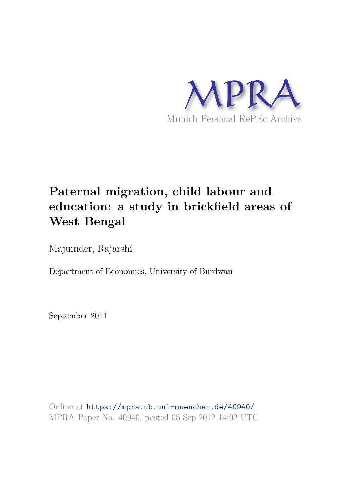

# **Paternal migration, child labour and education: a study in brickfield areas of West Bengal**

Majumder, Rajarshi

Department of Economics, University of Burdwan

September 2011

Online at https://mpra.ub.uni-muenchen.de/40940/ MPRA Paper No. 40940, posted 05 Sep 2012 14:02 UTC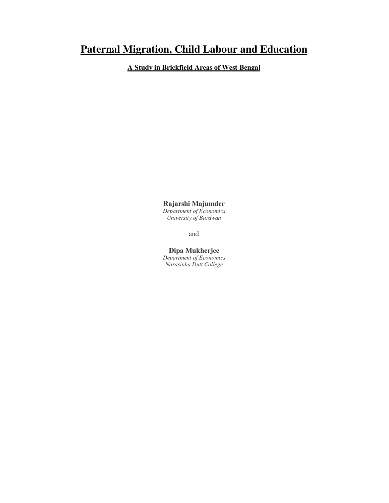# **Paternal Migration, Child Labour and Education**

**A Study in Brickfield Areas of West Bengal**

**Rajarshi Majumder** *Department of Economics University of Burdwan* 

and

**Dipa Mukherjee**  *Department of Economics Narasinha Dutt College*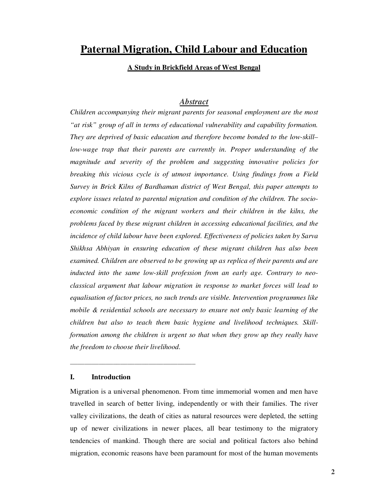# **Paternal Migration, Child Labour and Education**

# **A Study in Brickfield Areas of West Bengal**

# *Abstract*

*Children accompanying their migrant parents for seasonal employment are the most "at risk" group of all in terms of educational vulnerability and capability formation. They are deprived of basic education and therefore become bonded to the low-skill– low-wage trap that their parents are currently in. Proper understanding of the magnitude and severity of the problem and suggesting innovative policies for breaking this vicious cycle is of utmost importance. Using findings from a Field Survey in Brick Kilns of Bardhaman district of West Bengal, this paper attempts to explore issues related to parental migration and condition of the children. The socioeconomic condition of the migrant workers and their children in the kilns, the problems faced by these migrant children in accessing educational facilities, and the incidence of child labour have been explored. Effectiveness of policies taken by Sarva Shikhsa Abhiyan in ensuring education of these migrant children has also been examined. Children are observed to be growing up as replica of their parents and are inducted into the same low-skill profession from an early age. Contrary to neoclassical argument that labour migration in response to market forces will lead to equalisation of factor prices, no such trends are visible. Intervention programmes like mobile & residential schools are necessary to ensure not only basic learning of the children but also to teach them basic hygiene and livelihood techniques. Skillformation among the children is urgent so that when they grow up they really have the freedom to choose their livelihood.* 

# **I. Introduction**

\_\_\_\_\_\_\_\_\_\_\_\_\_\_\_\_\_\_\_\_\_\_\_\_\_\_\_\_\_\_\_\_\_\_\_

Migration is a universal phenomenon. From time immemorial women and men have travelled in search of better living, independently or with their families. The river valley civilizations, the death of cities as natural resources were depleted, the setting up of newer civilizations in newer places, all bear testimony to the migratory tendencies of mankind. Though there are social and political factors also behind migration, economic reasons have been paramount for most of the human movements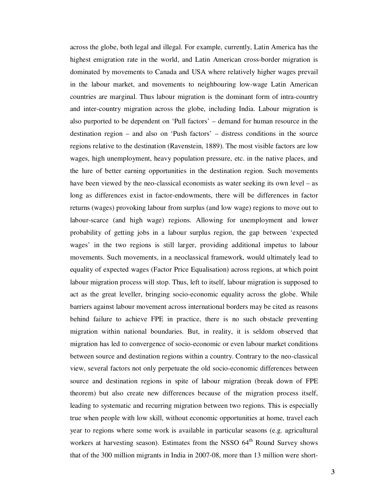across the globe, both legal and illegal. For example, currently, Latin America has the highest emigration rate in the world, and Latin American cross-border migration is dominated by movements to Canada and USA where relatively higher wages prevail in the labour market, and movements to neighbouring low-wage Latin American countries are marginal. Thus labour migration is the dominant form of intra-country and inter-country migration across the globe, including India. Labour migration is also purported to be dependent on 'Pull factors' – demand for human resource in the destination region – and also on 'Push factors' – distress conditions in the source regions relative to the destination (Ravenstein, 1889). The most visible factors are low wages, high unemployment, heavy population pressure, etc. in the native places, and the lure of better earning opportunities in the destination region. Such movements have been viewed by the neo-classical economists as water seeking its own level – as long as differences exist in factor-endowments, there will be differences in factor returns (wages) provoking labour from surplus (and low wage) regions to move out to labour-scarce (and high wage) regions. Allowing for unemployment and lower probability of getting jobs in a labour surplus region, the gap between 'expected wages' in the two regions is still larger, providing additional impetus to labour movements. Such movements, in a neoclassical framework, would ultimately lead to equality of expected wages (Factor Price Equalisation) across regions, at which point labour migration process will stop. Thus, left to itself, labour migration is supposed to act as the great leveller, bringing socio-economic equality across the globe. While barriers against labour movement across international borders may be cited as reasons behind failure to achieve FPE in practice, there is no such obstacle preventing migration within national boundaries. But, in reality, it is seldom observed that migration has led to convergence of socio-economic or even labour market conditions between source and destination regions within a country. Contrary to the neo-classical view, several factors not only perpetuate the old socio-economic differences between source and destination regions in spite of labour migration (break down of FPE theorem) but also create new differences because of the migration process itself, leading to systematic and recurring migration between two regions. This is especially true when people with low skill, without economic opportunities at home, travel each year to regions where some work is available in particular seasons (e.g. agricultural workers at harvesting season). Estimates from the NSSO 64<sup>th</sup> Round Survey shows that of the 300 million migrants in India in 2007-08, more than 13 million were short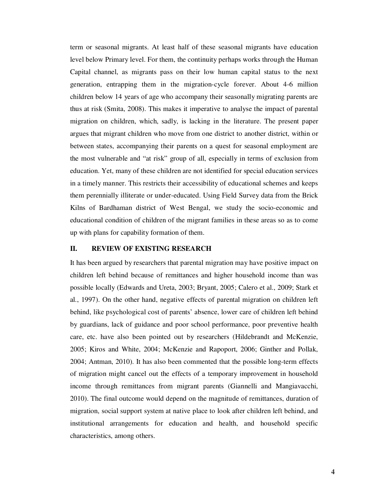term or seasonal migrants. At least half of these seasonal migrants have education level below Primary level. For them, the continuity perhaps works through the Human Capital channel, as migrants pass on their low human capital status to the next generation, entrapping them in the migration-cycle forever. About 4-6 million children below 14 years of age who accompany their seasonally migrating parents are thus at risk (Smita, 2008). This makes it imperative to analyse the impact of parental migration on children, which, sadly, is lacking in the literature. The present paper argues that migrant children who move from one district to another district, within or between states, accompanying their parents on a quest for seasonal employment are the most vulnerable and "at risk" group of all, especially in terms of exclusion from education. Yet, many of these children are not identified for special education services in a timely manner. This restricts their accessibility of educational schemes and keeps them perennially illiterate or under-educated. Using Field Survey data from the Brick Kilns of Bardhaman district of West Bengal, we study the socio-economic and educational condition of children of the migrant families in these areas so as to come up with plans for capability formation of them.

# **II. REVIEW OF EXISTING RESEARCH**

It has been argued by researchers that parental migration may have positive impact on children left behind because of remittances and higher household income than was possible locally (Edwards and Ureta, 2003; Bryant, 2005; Calero et al., 2009; Stark et al., 1997). On the other hand, negative effects of parental migration on children left behind, like psychological cost of parents' absence, lower care of children left behind by guardians, lack of guidance and poor school performance, poor preventive health care, etc. have also been pointed out by researchers (Hildebrandt and McKenzie, 2005; Kiros and White, 2004; McKenzie and Rapoport, 2006; Ginther and Pollak, 2004; Antman, 2010). It has also been commented that the possible long-term effects of migration might cancel out the effects of a temporary improvement in household income through remittances from migrant parents (Giannelli and Mangiavacchi, 2010). The final outcome would depend on the magnitude of remittances, duration of migration, social support system at native place to look after children left behind, and institutional arrangements for education and health, and household specific characteristics, among others.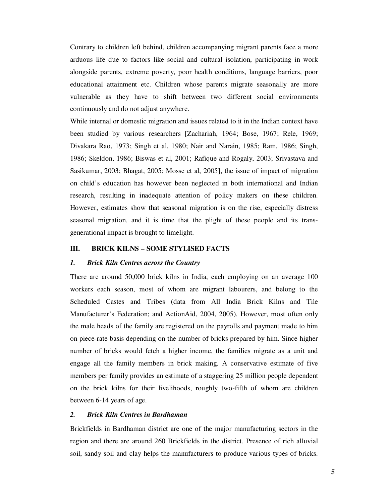Contrary to children left behind, children accompanying migrant parents face a more arduous life due to factors like social and cultural isolation, participating in work alongside parents, extreme poverty, poor health conditions, language barriers, poor educational attainment etc. Children whose parents migrate seasonally are more vulnerable as they have to shift between two different social environments continuously and do not adjust anywhere.

While internal or domestic migration and issues related to it in the Indian context have been studied by various researchers [Zachariah, 1964; Bose, 1967; Rele, 1969; Divakara Rao, 1973; Singh et al, 1980; Nair and Narain, 1985; Ram, 1986; Singh, 1986; Skeldon, 1986; Biswas et al, 2001; Rafique and Rogaly, 2003; Srivastava and Sasikumar, 2003; Bhagat, 2005; Mosse et al, 2005], the issue of impact of migration on child's education has however been neglected in both international and Indian research, resulting in inadequate attention of policy makers on these children. However, estimates show that seasonal migration is on the rise, especially distress seasonal migration, and it is time that the plight of these people and its transgenerational impact is brought to limelight.

# **III. BRICK KILNS – SOME STYLISED FACTS**

### *1. Brick Kiln Centres across the Country*

There are around 50,000 brick kilns in India, each employing on an average 100 workers each season, most of whom are migrant labourers, and belong to the Scheduled Castes and Tribes (data from All India Brick Kilns and Tile Manufacturer's Federation; and ActionAid, 2004, 2005). However, most often only the male heads of the family are registered on the payrolls and payment made to him on piece-rate basis depending on the number of bricks prepared by him. Since higher number of bricks would fetch a higher income, the families migrate as a unit and engage all the family members in brick making. A conservative estimate of five members per family provides an estimate of a staggering 25 million people dependent on the brick kilns for their livelihoods, roughly two-fifth of whom are children between 6-14 years of age.

#### *2. Brick Kiln Centres in Bardhaman*

Brickfields in Bardhaman district are one of the major manufacturing sectors in the region and there are around 260 Brickfields in the district. Presence of rich alluvial soil, sandy soil and clay helps the manufacturers to produce various types of bricks.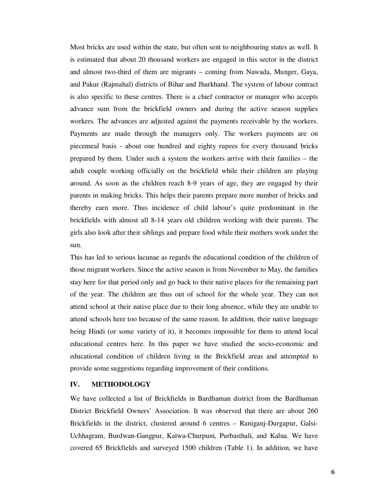Most bricks are used within the state, but often sent to neighbouring states as well. It is estimated that about 20 thousand workers are engaged in this sector in the district and almost two-third of them are migrants – coming from Nawada, Munger, Gaya, and Pakur (Rajmahal) districts of Bihar and Jharkhand. The system of labour contract is also specific to these centres. There is a chief contractor or manager who accepts advance sum from the brickfield owners and during the active season supplies workers. The advances are adjusted against the payments receivable by the workers. Payments are made through the managers only. The workers payments are on piecemeal basis - about one hundred and eighty rupees for every thousand bricks prepared by them. Under such a system the workers arrive with their families – the adult couple working officially on the brickfield while their children are playing around. As soon as the children reach 8-9 years of age, they are engaged by their parents in making bricks. This helps their parents prepare more number of bricks and thereby earn more. Thus incidence of child labour's quite predominant in the brickfields with almost all 8-14 years old children working with their parents. The girls also look after their siblings and prepare food while their mothers work under the sun.

This has led to serious lacunae as regards the educational condition of the children of those migrant workers. Since the active season is from November to May, the families stay here for that period only and go back to their native places for the remaining part of the year. The children are thus out of school for the whole year. They can not attend school at their native place due to their long absence, while they are unable to attend schools here too because of the same reason. In addition, their native language being Hindi (or some variety of it), it becomes impossible for them to attend local educational centres here. In this paper we have studied the socio-economic and educational condition of children living in the Brickfield areas and attempted to provide some suggestions regarding improvement of their conditions.

# **IV. METHODOLOGY**

We have collected a list of Brickfields in Bardhaman district from the Bardhaman District Brickfield Owners' Association. It was observed that there are about 260 Brickfields in the district, clustered around 6 centres – Raniganj-Durgapur, Galsi-Uchhagram, Burdwan-Gangpur, Katwa-Churpuni, Purbasthali, and Kalna. We have covered 65 Brickfields and surveyed 1500 children (Table 1). In addition, we have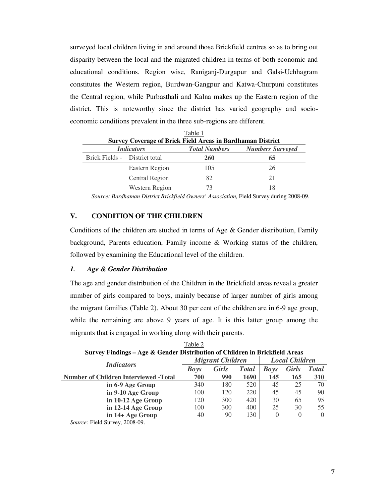surveyed local children living in and around those Brickfield centres so as to bring out disparity between the local and the migrated children in terms of both economic and educational conditions. Region wise, Raniganj-Durgapur and Galsi-Uchhagram constitutes the Western region, Burdwan-Gangpur and Katwa-Churpuni constitutes the Central region, while Purbasthali and Kalna makes up the Eastern region of the district. This is noteworthy since the district has varied geography and socioeconomic conditions prevalent in the three sub-regions are different.

| Table 1<br><b>Survey Coverage of Brick Field Areas in Bardhaman District</b> |                   |                      |                         |  |  |  |  |  |
|------------------------------------------------------------------------------|-------------------|----------------------|-------------------------|--|--|--|--|--|
|                                                                              | <i>Indicators</i> | <b>Total Numbers</b> | <b>Numbers Surveyed</b> |  |  |  |  |  |
| Brick Fields - District total                                                |                   | <b>260</b>           | 65                      |  |  |  |  |  |
|                                                                              | Eastern Region    | 105                  | 26                      |  |  |  |  |  |
|                                                                              | Central Region    | 82                   | 21                      |  |  |  |  |  |
|                                                                              | Western Region    | 73                   | 18                      |  |  |  |  |  |

*Source: Bardhaman District Brickfield Owners' Association,* Field Survey during 2008-09.

# **V. CONDITION OF THE CHILDREN**

Conditions of the children are studied in terms of Age & Gender distribution, Family background, Parents education, Family income & Working status of the children, followed by examining the Educational level of the children.

#### *1. Age & Gender Distribution*

The age and gender distribution of the Children in the Brickfield areas reveal a greater number of girls compared to boys, mainly because of larger number of girls among the migrant families (Table 2). About 30 per cent of the children are in 6-9 age group, while the remaining are above 9 years of age. It is this latter group among the migrants that is engaged in working along with their parents.

 $T<sub>11</sub>$ 

| radie 2                                                                     |             |                         |                       |             |              |              |  |  |  |
|-----------------------------------------------------------------------------|-------------|-------------------------|-----------------------|-------------|--------------|--------------|--|--|--|
| Survey Findings – Age & Gender Distribution of Children in Brickfield Areas |             |                         |                       |             |              |              |  |  |  |
| <b>Indicators</b>                                                           |             | <b>Migrant Children</b> | <b>Local Children</b> |             |              |              |  |  |  |
|                                                                             | <b>Boys</b> | <b>Girls</b>            | <b>Total</b>          | <b>Boys</b> | <b>Girls</b> | <b>Total</b> |  |  |  |
| <b>Number of Children Interviewed -Total</b>                                | 700         | 990                     | 1690                  | 145         | 165          | <b>310</b>   |  |  |  |
| in 6-9 Age Group                                                            | 340         | 180                     | 520                   | 45          | 25           | 70           |  |  |  |
| in 9-10 Age Group                                                           | 100         | 120                     | 220                   | 45          | 45           | 90           |  |  |  |
| in 10-12 Age Group                                                          | 120         | 300                     | 420                   | 30          | 65           | 95           |  |  |  |
| in 12-14 Age Group                                                          | 100         | 300                     | 400                   | 25          | 30           | 55           |  |  |  |
| in 14+ Age Group                                                            | 40          | 90                      | 130                   |             |              | $\Omega$     |  |  |  |
|                                                                             |             |                         |                       |             |              |              |  |  |  |

*Source:* Field Survey, 2008-09.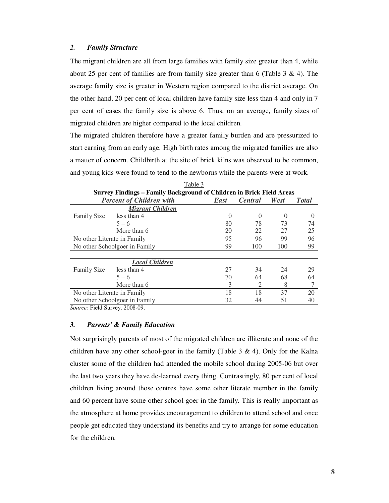#### *2. Family Structure*

The migrant children are all from large families with family size greater than 4, while about 25 per cent of families are from family size greater than 6 (Table 3  $\&$  4). The average family size is greater in Western region compared to the district average. On the other hand, 20 per cent of local children have family size less than 4 and only in 7 per cent of cases the family size is above 6. Thus, on an average, family sizes of migrated children are higher compared to the local children.

The migrated children therefore have a greater family burden and are pressurized to start earning from an early age. High birth rates among the migrated families are also a matter of concern. Childbirth at the site of brick kilns was observed to be common, and young kids were found to tend to the newborns while the parents were at work.

| L'ault J<br>Survey Findings – Family Background of Children in Brick Field Areas |                                 |          |                             |      |               |  |  |  |  |
|----------------------------------------------------------------------------------|---------------------------------|----------|-----------------------------|------|---------------|--|--|--|--|
|                                                                                  | <b>Percent of Children with</b> | East     | <b>Central</b>              | West | <b>T</b> otal |  |  |  |  |
|                                                                                  | <b>Migrant Children</b>         |          |                             |      |               |  |  |  |  |
| <b>Family Size</b>                                                               | less than 4                     | $\theta$ | $\Omega$                    |      |               |  |  |  |  |
|                                                                                  | $5 - 6$                         | 80       | 78                          | 73   | 74            |  |  |  |  |
|                                                                                  | More than 6                     | 20       | 22                          | 27   | 25            |  |  |  |  |
| No other Literate in Family                                                      |                                 |          | 96                          | 99   | 96            |  |  |  |  |
| No other Schoolgoer in Family                                                    | 99                              | 100      | 100                         | 99   |               |  |  |  |  |
|                                                                                  | <b>Local Children</b>           |          |                             |      |               |  |  |  |  |
| <b>Family Size</b>                                                               | less than 4                     | 27       | 34                          | 24   | 29            |  |  |  |  |
|                                                                                  | $5 - 6$                         | 70       | 64                          | 68   | 64            |  |  |  |  |
|                                                                                  | More than 6                     | 3        | $\mathcal{D}_{\mathcal{L}}$ | 8    |               |  |  |  |  |
| No other Literate in Family                                                      |                                 | 18       | 18                          | 37   | 20            |  |  |  |  |
| No other Schoolgoer in Family                                                    | 32                              | 44       | 51                          | 40   |               |  |  |  |  |

Table 3

*Source:* Field Survey, 2008-09.

# *3. Parents' & Family Education*

Not surprisingly parents of most of the migrated children are illiterate and none of the children have any other school-goer in the family (Table  $3 \& 4$ ). Only for the Kalna cluster some of the children had attended the mobile school during 2005-06 but over the last two years they have de-learned every thing. Contrastingly, 80 per cent of local children living around those centres have some other literate member in the family and 60 percent have some other school goer in the family. This is really important as the atmosphere at home provides encouragement to children to attend school and once people get educated they understand its benefits and try to arrange for some education for the children.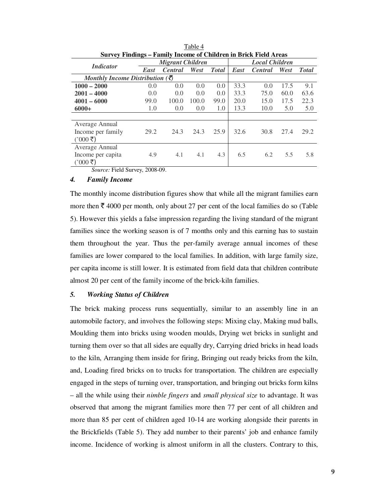| Survey Findings – Family Income of Children in Brick Field Areas |                                           |                |       |              |                       |                |      |              |  |
|------------------------------------------------------------------|-------------------------------------------|----------------|-------|--------------|-----------------------|----------------|------|--------------|--|
| <i>Indicator</i>                                                 | <b>Migrant Children</b>                   |                |       |              | <b>Local Children</b> |                |      |              |  |
|                                                                  | <b>East</b>                               | <b>Central</b> | West  | <b>Total</b> | <b>East</b>           | <b>Central</b> | West | <b>Total</b> |  |
| Monthly Income Distribution $(\bar{\mathfrak{F}})$               |                                           |                |       |              |                       |                |      |              |  |
| $1000 - 2000$                                                    | 0.0                                       | 0.0            | 0.0   | 0.0          | 33.3                  | 0.0            | 17.5 | 9.1          |  |
| $2001 - 4000$                                                    | 0.0                                       | 0.0            | 0.0   | 0.0          | 33.3                  | 75.0           | 60.0 | 63.6         |  |
| $4001 - 6000$                                                    | 99.0                                      | 100.0          | 100.0 | 99.0         | 20.0                  | 15.0           | 17.5 | 22.3         |  |
| $6000+$                                                          | 1.0                                       | 0.0            | 0.0   | 1.0          | 13.3                  | 10.0           | 5.0  | 5.0          |  |
|                                                                  |                                           |                |       |              |                       |                |      |              |  |
| Average Annual                                                   |                                           |                |       |              |                       |                |      |              |  |
| Income per family                                                | 29.2                                      | 24.3           | 24.3  | 25.9         | 32.6                  | 30.8           | 27.4 | 29.2         |  |
| ( $000\bar{z}$ )                                                 |                                           |                |       |              |                       |                |      |              |  |
| Average Annual                                                   |                                           |                |       |              |                       |                |      |              |  |
| Income per capita                                                | 4.9                                       | 4.1            | 4.1   | 4.3          | 6.5                   | 6.2            | 5.5  | 5.8          |  |
| ( $000\bar{z}$ )                                                 |                                           |                |       |              |                       |                |      |              |  |
| $-1$ $-1$ $-1$                                                   | $\bullet$ $\circ$ $\circ$ $\circ$ $\circ$ |                |       |              |                       |                |      |              |  |

Table 4 **Survey Findings – Family Income of Children in Brick Field Areas** 

*Source:* Field Survey, 2008-09.

# *4. Family Income*

The monthly income distribution figures show that while all the migrant families earn more then  $\bar{\tau}$  4000 per month, only about 27 per cent of the local families do so (Table 5). However this yields a false impression regarding the living standard of the migrant families since the working season is of 7 months only and this earning has to sustain them throughout the year. Thus the per-family average annual incomes of these families are lower compared to the local families. In addition, with large family size, per capita income is still lower. It is estimated from field data that children contribute almost 20 per cent of the family income of the brick-kiln families.

# *5. Working Status of Children*

The brick making process runs sequentially, similar to an assembly line in an automobile factory, and involves the following steps: Mixing clay, Making mud balls, Moulding them into bricks using wooden moulds, Drying wet bricks in sunlight and turning them over so that all sides are equally dry, Carrying dried bricks in head loads to the kiln, Arranging them inside for firing, Bringing out ready bricks from the kiln, and, Loading fired bricks on to trucks for transportation. The children are especially engaged in the steps of turning over, transportation, and bringing out bricks form kilns – all the while using their *nimble fingers* and *small physical size* to advantage. It was observed that among the migrant families more then 77 per cent of all children and more than 85 per cent of children aged 10-14 are working alongside their parents in the Brickfields (Table 5). They add number to their parents' job and enhance family income. Incidence of working is almost uniform in all the clusters. Contrary to this,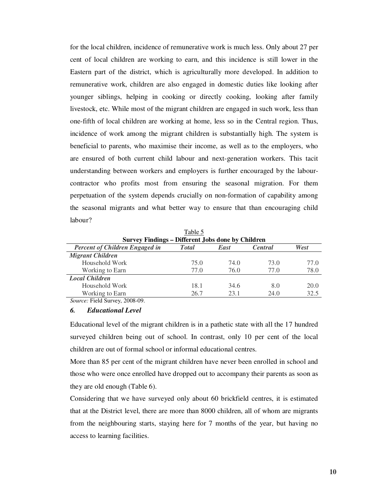for the local children, incidence of remunerative work is much less. Only about 27 per cent of local children are working to earn, and this incidence is still lower in the Eastern part of the district, which is agriculturally more developed. In addition to remunerative work, children are also engaged in domestic duties like looking after younger siblings, helping in cooking or directly cooking, looking after family livestock, etc. While most of the migrant children are engaged in such work, less than one-fifth of local children are working at home, less so in the Central region. Thus, incidence of work among the migrant children is substantially high. The system is beneficial to parents, who maximise their income, as well as to the employers, who are ensured of both current child labour and next-generation workers. This tacit understanding between workers and employers is further encouraged by the labourcontractor who profits most from ensuring the seasonal migration. For them perpetuation of the system depends crucially on non-formation of capability among the seasonal migrants and what better way to ensure that than encouraging child labour?

| L'aule J                                                                                |      |      |      |      |  |  |  |  |  |
|-----------------------------------------------------------------------------------------|------|------|------|------|--|--|--|--|--|
| <b>Survey Findings - Different Jobs done by Children</b>                                |      |      |      |      |  |  |  |  |  |
| <b>Percent of Children Engaged in</b><br><b>T</b> otal<br><b>Central</b><br><b>East</b> |      |      |      |      |  |  |  |  |  |
| <b>Migrant Children</b>                                                                 |      |      |      |      |  |  |  |  |  |
| Household Work                                                                          | 75.0 | 74.0 | 73.0 | 77.0 |  |  |  |  |  |
| Working to Earn                                                                         | 77.0 | 76.0 | 77.0 | 78.0 |  |  |  |  |  |
| <b>Local Children</b>                                                                   |      |      |      |      |  |  |  |  |  |
| Household Work                                                                          | 18.1 | 34.6 | 8.0  | 20.0 |  |  |  |  |  |
| Working to Earn                                                                         | 26.7 | 23.1 | 24.0 | 32.5 |  |  |  |  |  |
| $Source \cdot$ Field Survey 2008-09                                                     |      |      |      |      |  |  |  |  |  |

 $T = 1.1 - 5$ 

*Source:* Field Survey, 2008-09.

## *6. Educational Level*

Educational level of the migrant children is in a pathetic state with all the 17 hundred surveyed children being out of school. In contrast, only 10 per cent of the local children are out of formal school or informal educational centres.

More than 85 per cent of the migrant children have never been enrolled in school and those who were once enrolled have dropped out to accompany their parents as soon as they are old enough (Table 6).

Considering that we have surveyed only about 60 brickfield centres, it is estimated that at the District level, there are more than 8000 children, all of whom are migrants from the neighbouring starts, staying here for 7 months of the year, but having no access to learning facilities.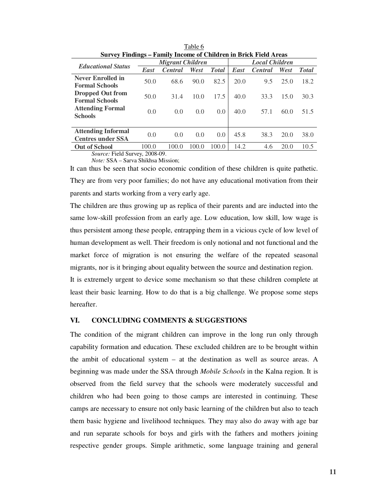| meonie of Chinal en in Drien Freia (fileas |                         |                |       |               |                       |                |      |              |
|--------------------------------------------|-------------------------|----------------|-------|---------------|-----------------------|----------------|------|--------------|
| <b>Educational Status</b>                  | <b>Migrant Children</b> |                |       |               | <b>Local Children</b> |                |      |              |
|                                            | East                    | <b>Central</b> | West  | <b>Total</b>  | East                  | <b>Central</b> | West | <b>Total</b> |
| <b>Never Enrolled in</b>                   | 50.0                    | 68.6           | 90.0  | 82.5          | 20.0                  | 9.5            | 25.0 | 18.2         |
| <b>Formal Schools</b>                      |                         |                |       |               |                       |                |      |              |
| <b>Dropped Out from</b>                    | 50.0                    | 31.4           | 10.0  | 17.5          | 40.0                  | 33.3           | 15.0 | 30.3         |
| <b>Formal Schools</b>                      |                         |                |       |               |                       |                |      |              |
| <b>Attending Formal</b>                    | 0.0                     | 0.0            | 0.0   | $0.0^{\circ}$ | 40.0                  | 57.1           | 60.0 | 51.5         |
| <b>Schools</b>                             |                         |                |       |               |                       |                |      |              |
|                                            |                         |                |       |               |                       |                |      |              |
| <b>Attending Informal</b>                  | 0.0                     | 0.0            | 0.0   |               | 45.8<br>$0.0^{\circ}$ | 38.3           | 20.0 | 38.0         |
| <b>Centres under SSA</b>                   |                         |                |       |               |                       |                |      |              |
| <b>Out of School</b>                       | 100.0                   | 100.0          | 100.0 | 100.0         | 14.2                  | 4.6            | 20.0 | 10.5         |
| <i>Source:</i> Field Survey, 2008-09.      |                         |                |       |               |                       |                |      |              |

Table 6 **Survey Findings – Family Income of Children in Brick Field Areas** 

*Note:* SSA – Sarva Shikhsa Mission;

It can thus be seen that socio economic condition of these children is quite pathetic. They are from very poor families; do not have any educational motivation from their parents and starts working from a very early age.

The children are thus growing up as replica of their parents and are inducted into the same low-skill profession from an early age. Low education, low skill, low wage is thus persistent among these people, entrapping them in a vicious cycle of low level of human development as well. Their freedom is only notional and not functional and the market force of migration is not ensuring the welfare of the repeated seasonal migrants, nor is it bringing about equality between the source and destination region.

It is extremely urgent to device some mechanism so that these children complete at least their basic learning. How to do that is a big challenge. We propose some steps hereafter.

# **VI. CONCLUDING COMMENTS & SUGGESTIONS**

The condition of the migrant children can improve in the long run only through capability formation and education. These excluded children are to be brought within the ambit of educational system – at the destination as well as source areas. A beginning was made under the SSA through *Mobile Schools* in the Kalna region. It is observed from the field survey that the schools were moderately successful and children who had been going to those camps are interested in continuing. These camps are necessary to ensure not only basic learning of the children but also to teach them basic hygiene and livelihood techniques. They may also do away with age bar and run separate schools for boys and girls with the fathers and mothers joining respective gender groups. Simple arithmetic, some language training and general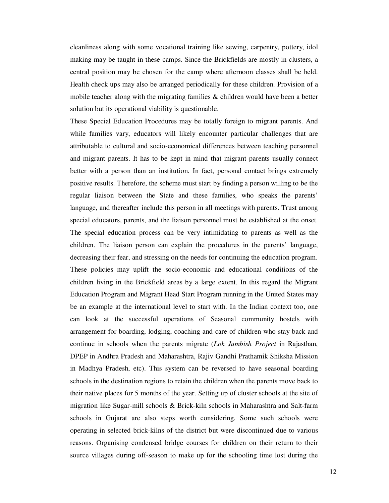cleanliness along with some vocational training like sewing, carpentry, pottery, idol making may be taught in these camps. Since the Brickfields are mostly in clusters, a central position may be chosen for the camp where afternoon classes shall be held. Health check ups may also be arranged periodically for these children. Provision of a mobile teacher along with the migrating families  $\&$  children would have been a better solution but its operational viability is questionable.

These Special Education Procedures may be totally foreign to migrant parents. And while families vary, educators will likely encounter particular challenges that are attributable to cultural and socio-economical differences between teaching personnel and migrant parents. It has to be kept in mind that migrant parents usually connect better with a person than an institution. In fact, personal contact brings extremely positive results. Therefore, the scheme must start by finding a person willing to be the regular liaison between the State and these families, who speaks the parents' language, and thereafter include this person in all meetings with parents. Trust among special educators, parents, and the liaison personnel must be established at the onset. The special education process can be very intimidating to parents as well as the children. The liaison person can explain the procedures in the parents' language, decreasing their fear, and stressing on the needs for continuing the education program. These policies may uplift the socio-economic and educational conditions of the children living in the Brickfield areas by a large extent. In this regard the Migrant Education Program and Migrant Head Start Program running in the United States may be an example at the international level to start with. In the Indian context too, one can look at the successful operations of Seasonal community hostels with arrangement for boarding, lodging, coaching and care of children who stay back and continue in schools when the parents migrate (*Lok Jumbish Project* in Rajasthan, DPEP in Andhra Pradesh and Maharashtra, Rajiv Gandhi Prathamik Shiksha Mission in Madhya Pradesh, etc). This system can be reversed to have seasonal boarding schools in the destination regions to retain the children when the parents move back to their native places for 5 months of the year. Setting up of cluster schools at the site of migration like Sugar-mill schools & Brick-kiln schools in Maharashtra and Salt-farm schools in Gujarat are also steps worth considering. Some such schools were operating in selected brick-kilns of the district but were discontinued due to various reasons. Organising condensed bridge courses for children on their return to their source villages during off-season to make up for the schooling time lost during the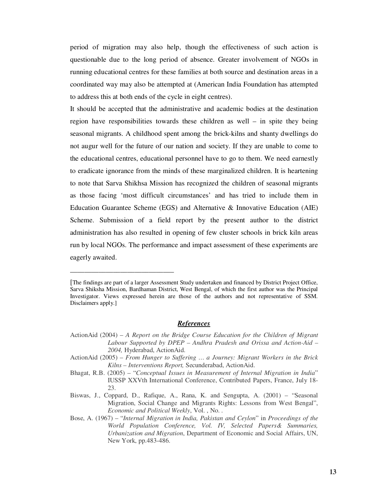period of migration may also help, though the effectiveness of such action is questionable due to the long period of absence. Greater involvement of NGOs in running educational centres for these families at both source and destination areas in a coordinated way may also be attempted at (American India Foundation has attempted to address this at both ends of the cycle in eight centres).

It should be accepted that the administrative and academic bodies at the destination region have responsibilities towards these children as well – in spite they being seasonal migrants. A childhood spent among the brick-kilns and shanty dwellings do not augur well for the future of our nation and society. If they are unable to come to the educational centres, educational personnel have to go to them. We need earnestly to eradicate ignorance from the minds of these marginalized children. It is heartening to note that Sarva Shikhsa Mission has recognized the children of seasonal migrants as those facing 'most difficult circumstances' and has tried to include them in Education Guarantee Scheme (EGS) and Alternative & Innovative Education (AIE) Scheme. Submission of a field report by the present author to the district administration has also resulted in opening of few cluster schools in brick kiln areas run by local NGOs. The performance and impact assessment of these experiments are eagerly awaited.

\_\_\_\_\_\_\_\_\_\_\_\_\_\_\_\_\_\_\_\_\_\_\_\_\_\_\_\_\_

## *References*

- ActionAid (2005) *From Hunger to Suffering … a Journey: Migrant Workers in the Brick Kilns – Interventions Report,* Secunderabad, ActionAid.
- Bhagat, R.B. (2005) "*Conceptual Issues in Measurement of Internal Migration in India*" IUSSP XXVth International Conference, Contributed Papers, France, July 18- 23.
- Biswas, J., Coppard, D., Rafique, A., Rana, K. and Sengupta, A. (2001) "Seasonal Migration, Social Change and Migrants Rights: Lessons from West Bengal", *Economic and Political Weekly*, Vol. , No. .
- Bose, A. (1967) "*Internal Migration in India, Pakistan and Ceylon*" in *Proceedings of the World Population Conference, Vol. IV, Selected Papers& Summaries, Urbanization and Migration*, Department of Economic and Social Affairs, UN, New York, pp.483-486.

<sup>[</sup>The findings are part of a larger Assessment Study undertaken and financed by District Project Office, Sarva Shiksha Mission, Bardhaman District, West Bengal, of which the first author was the Principal Investigator. Views expressed herein are those of the authors and not representative of SSM. Disclaimers apply.]

ActionAid (2004) – *A Report on the Bridge Course Education for the Children of Migrant Labour Supported by DPEP – Andhra Pradesh and Orissa and Action-Aid – 2004,* Hyderabad, ActionAid.